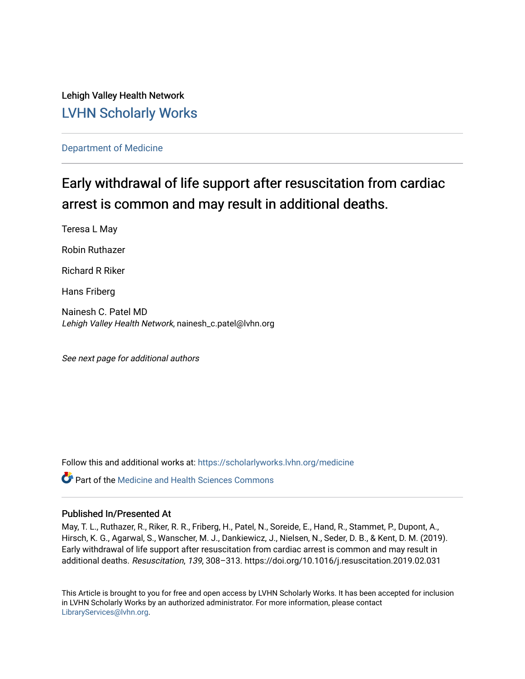Lehigh Valley Health Network [LVHN Scholarly Works](https://scholarlyworks.lvhn.org/)

[Department of Medicine](https://scholarlyworks.lvhn.org/medicine) 

# Early withdrawal of life support after resuscitation from cardiac arrest is common and may result in additional deaths.

Teresa L May

Robin Ruthazer

Richard R Riker

Hans Friberg

Nainesh C. Patel MD Lehigh Valley Health Network, nainesh\_c.patel@lvhn.org

See next page for additional authors

Follow this and additional works at: [https://scholarlyworks.lvhn.org/medicine](https://scholarlyworks.lvhn.org/medicine?utm_source=scholarlyworks.lvhn.org%2Fmedicine%2F1938&utm_medium=PDF&utm_campaign=PDFCoverPages) 

**P** Part of the Medicine and Health Sciences Commons

## Published In/Presented At

May, T. L., Ruthazer, R., Riker, R. R., Friberg, H., Patel, N., Soreide, E., Hand, R., Stammet, P., Dupont, A., Hirsch, K. G., Agarwal, S., Wanscher, M. J., Dankiewicz, J., Nielsen, N., Seder, D. B., & Kent, D. M. (2019). Early withdrawal of life support after resuscitation from cardiac arrest is common and may result in additional deaths. Resuscitation, 139, 308–313. https://doi.org/10.1016/j.resuscitation.2019.02.031

This Article is brought to you for free and open access by LVHN Scholarly Works. It has been accepted for inclusion in LVHN Scholarly Works by an authorized administrator. For more information, please contact [LibraryServices@lvhn.org](mailto:LibraryServices@lvhn.org).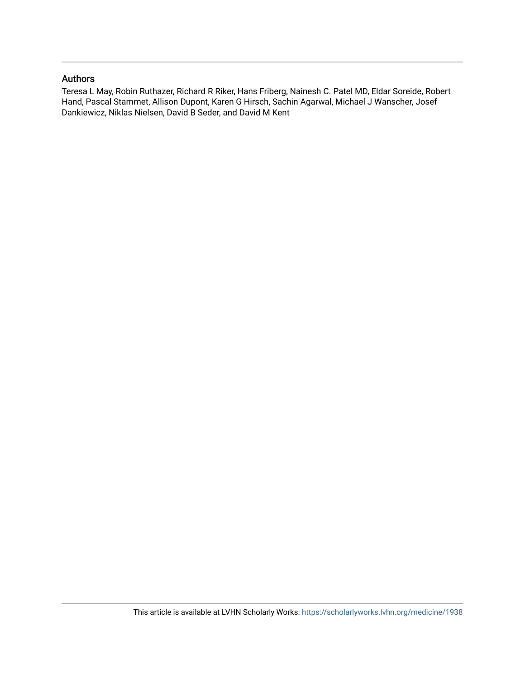## Authors

Teresa L May, Robin Ruthazer, Richard R Riker, Hans Friberg, Nainesh C. Patel MD, Eldar Soreide, Robert Hand, Pascal Stammet, Allison Dupont, Karen G Hirsch, Sachin Agarwal, Michael J Wanscher, Josef Dankiewicz, Niklas Nielsen, David B Seder, and David M Kent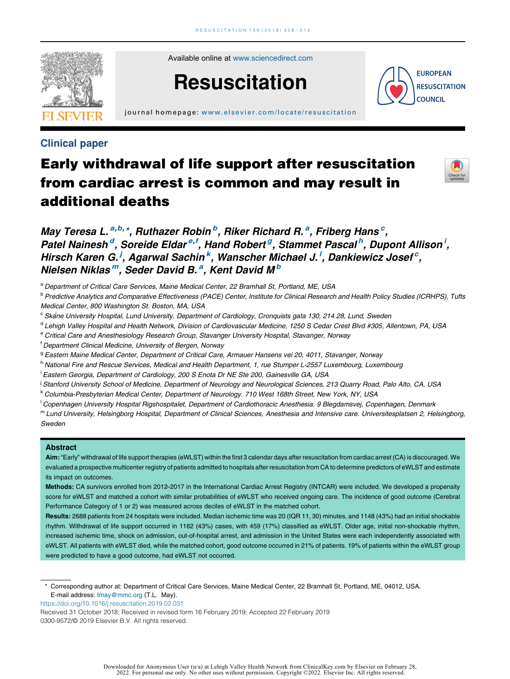

Available online at [www.sciencedirect.com](http://www.sciencedirect.com/science/journal/03009572)

# **Resuscitation**

**EUROPEAN RESUSCITATION COUNCIL** 

journal homepage: [www.elsevier.com/locate/resus c](www.elsevier.com/locate/resuscitation) itation

## Clinical paper

## Early withdrawal of life support after resuscitation from cardiac arrest is common and may result in additional deaths



May Teresa L.<sup>a,b,\*</sup>, Ruthazer Robin<sup>b</sup>, Riker Richard R.<sup>a</sup>, Friberg Hans<sup>c</sup>, Patel Nainesh<sup>d</sup>, Soreide Eldar<sup>e,f</sup>, Hand Robert<sup>g</sup>, Stammet Pascal<sup>h</sup>, Dupont Allison<sup>i</sup>, Hirsch Karen G.<sup>i</sup>, Agarwal Sachin<sup>k</sup>, Wanscher Michael J.<sup>I</sup>, Dankiewicz Josef<sup>c</sup>, Nielsen Niklas<sup>m</sup>, Seder David B.<sup>a</sup>, Kent David M<sup>b</sup>

a Department of Critical Care Services, Maine Medical Center, 22 Bramhall St, Portland, ME, USA

<sup>b</sup> Predictive Analytics and Comparative Effectiveness (PACE) Center, Institute for Clinical Research and Health Policy Studies (ICRHPS), Tufts Medical Center, 800 Washington St. Boston, MA, USA

- <sup>c</sup> Skane University Hospital, Lund University, Department of Cardiology, Cronquists gata 130, 214 28, Lund, Sweden
- <sup>d</sup> Lehigh Valley Hospital and Health Network, Division of Cardiovascular Medicine, 1250 S Cedar Crest Blvd #305, Allentown, PA, USA
- <sup>e</sup> Critical Care and Anesthesiology Research Group, Stavanger University Hospital, Stavanger, Norway

f Department Clinical Medicine, University of Bergen, Norway

<sup>9</sup> Eastern Maine Medical Center, Department of Critical Care, Armauer Hansens vei 20, 4011, Stavanger, Norway

h National Fire and Rescue Services, Medical and Health Department, 1, rue Stumper L-2557 Luxembourg, Luxembourg

i Eastern Georgia, Department of Cardiology, 200 S Enota Dr NE Ste 200, Gainesville GA, USA

<sup>i</sup> Stanford University School of Medicine, Department of Neurology and Neurological Sciences, 213 Quarry Road, Palo Alto, CA, USA

<sup>k</sup> Columbia-Presbyterian Medical Center, Department of Neurology. 710 West 168th Street, New York, NY, USA

l Copenhagen University Hospital Rigshospitalet, Department of Cardiothoracic Anesthesia. 9 Blegdamsvej, Copenhagen, Denmark

m Lund University, Helsingborg Hospital, Department of Clinical Sciences, Anesthesia and Intensive care. Universitesplatsen 2, Helsingborg, Sweden

#### Abstract

Aim: "Early" withdrawal of life support therapies (eWLST) within the first 3 calendar days after resuscitation from cardiac arrest (CA) is discouraged. We evaluated a prospective multicenter registry of patients admitted to hospitals after resuscitation from CAto determine predictors of eWLST and estimate its impact on outcomes.

Methods: CA survivors enrolled from 2012–2017 in the International Cardiac Arrest Registry (INTCAR) were included. We developed a propensity score for eWLST and matched a cohort with similar probabilities of eWLST who received ongoing care. The incidence of good outcome (Cerebral Performance Category of 1 or 2) was measured across deciles of eWLST in the matched cohort.

Results: 2688 patients from 24 hospitals were included. Median ischemic time was 20 (IQR 11, 30) minutes, and 1148 (43%) had an initial shockable rhythm. Withdrawal of life support occurred in 1162 (43%) cases, with 459 (17%) classified as eWLST. Older age, initial non-shockable rhythm, increased ischemic time, shock on admission, out-of-hospital arrest, and admission in the United States were each independently associated with eWLST. All patients with eWLST died, while the matched cohort, good outcome occurred in 21% of patients. 19% of patients within the eWLST group were predicted to have a good outcome, had eWLST not occurred.

\* Corresponding author at: Department of Critical Care Services, Maine Medical Center, 22 Bramhall St, Portland, ME, 04012, USA. E-mail address: [tmay@mmc.org](mailto:tmay@mmc.org) (T.L. May).

<https://doi.org/10.1016/j.resuscitation.2019.02.031>

Received 31 October 2018; Received in revised form 16 February 2019; Accepted 22 February 2019 0300-9572/© 2019 Elsevier B.V. All rights reserved.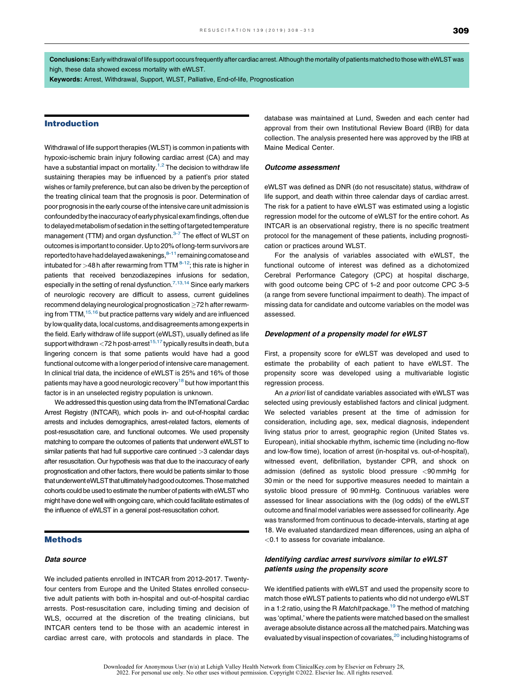Conclusions:Early withdrawal of life support occurs frequently after cardiac arrest.Although the mortality of patients matched to those with eWLST was high, these data showed excess mortality with eWLST.

Keywords: Arrest, Withdrawal, Support, WLST, Palliative, End-of-life, Prognostication

#### Introduction

Withdrawal of life support therapies (WLST) is common in patients with hypoxic-ischemic brain injury following cardiac arrest (CA) and may have a substantial impact on mortality.<sup>1,2</sup> The decision to [withdraw](#page-6-0) life sustaining therapies may be influenced by a patient's prior stated wishes or family preference, but can also be driven by the perception of the treating clinical team that the prognosis is poor. Determination of poor prognosis in the early course of the intensive care unit admission is confounded by the inaccuracy of early physical exam findings, often due to delayed metabolism of sedation in the setting of targeted temperature management (TTM) and organ dysfunction.<sup>3-7</sup> The effect of [WLST](#page-6-0) on outcomes is important to consider.Up to 20% of long-term survivors are reported to have had delayed awakenings, $8-11$  remaining comatose and intubated for  $>48$  h after rewarming from TTM  $8-12$ ; this rate is [higher](#page-7-0) in patients that received benzodiazepines infusions for sedation, especially in the setting of renal dysfunction.<sup>7,13,14</sup> Since early [markers](#page-7-0) of neurologic recovery are difficult to assess, current guidelines recommend delaying neurological prognostication >72 h after rewarming from TTM, <sup>15,16</sup> but practice patterns vary widely and are [influenced](#page-7-0) by low quality data, local customs, and disagreements among experts in the field. Early withdraw of life support (eWLST), usually defined as life support withdrawn  $<$ 72 h post-arrest<sup>15,17</sup> [typically](#page-7-0) results in death, but a lingering concern is that some patients would have had a good functional outcome with a longer period of intensive care management. In clinical trial data, the incidence of eWLST is 25% and 16% of those patients may have a good neurologic recovery<sup>18</sup> but how important this factor is in an unselected registry population is unknown.

We addressed this question using data from the INTernational Cardiac Arrest Registry (INTCAR), which pools in- and out-of-hospital cardiac arrests and includes demographics, arrest-related factors, elements of post-resuscitation care, and functional outcomes. We used propensity matching to compare the outcomes of patients that underwent eWLST to similar patients that had full supportive care continued >3 calendar days after resuscitation. Our hypothesis was that due to the inaccuracy of early prognostication and other factors, there would be patients similar to those that underwent eWLST that ultimately had good outcomes. Those matched cohorts could be used to estimate the number of patients with eWLST who might have done well with ongoing care, which could facilitate estimates of the influence of eWLST in a general post-resuscitation cohort.

#### Methods

#### Data source

We included patients enrolled in INTCAR from 2012–2017. Twentyfour centers from Europe and the United States enrolled consecutive adult patients with both in-hospital and out-of-hospital cardiac arrests. Post-resuscitation care, including timing and decision of WLS, occurred at the discretion of the treating clinicians, but INTCAR centers tend to be those with an academic interest in cardiac arrest care, with protocols and standards in place. The database was maintained at Lund, Sweden and each center had approval from their own Institutional Review Board (IRB) for data collection. The analysis presented here was approved by the IRB at Maine Medical Center.

#### Outcome assessment

eWLST was defined as DNR (do not resuscitate) status, withdraw of life support, and death within three calendar days of cardiac arrest. The risk for a patient to have eWLST was estimated using a logistic regression model for the outcome of eWLST for the entire cohort. As INTCAR is an observational registry, there is no specific treatment protocol for the management of these patients, including prognostication or practices around WLST.

For the analysis of variables associated with eWLST, the functional outcome of interest was defined as a dichotomized Cerebral Performance Category (CPC) at hospital discharge, with good outcome being CPC of 1–2 and poor outcome CPC 3–5 (a range from severe functional impairment to death). The impact of missing data for candidate and outcome variables on the model was assessed.

#### Development of a propensity model for eWLST

First, a propensity score for eWLST was developed and used to estimate the probability of each patient to have eWLST. The propensity score was developed using a multivariable logistic regression process.

An a priori list of candidate variables associated with eWLST was selected using previously established factors and clinical judgment. We selected variables present at the time of admission for consideration, including age, sex, medical diagnosis, independent living status prior to arrest, geographic region (United States vs. European), initial shockable rhythm, ischemic time (including no-flow and low-flow time), location of arrest (in-hospital vs. out-of-hospital), witnessed event, defibrillation, bystander CPR, and shock on admission (defined as systolic blood pressure <90 mmHg for 30 min or the need for supportive measures needed to maintain a systolic blood pressure of 90 mmHg. Continuous variables were assessed for linear associations with the (log odds) of the eWLST outcome and final model variables were assessed for collinearity. Age was transformed from continuous to decade-intervals, starting at age 18. We evaluated standardized mean differences, using an alpha of <0.1 to assess for covariate imbalance.

#### Identifying cardiac arrest survivors similar to eWLST patients using the propensity score

We identified patients with eWLST and used the propensity score to match those eWLST patients to patients who did not undergo eWLST in a 1:2 ratio, using the R MatchIt package.<sup>19</sup> The method of matching was 'optimal,' where the patients were matched based on the smallest average absolute distance across all the matched pairs. Matching was evaluated by visual inspection of covariates,<sup>20</sup> including histograms of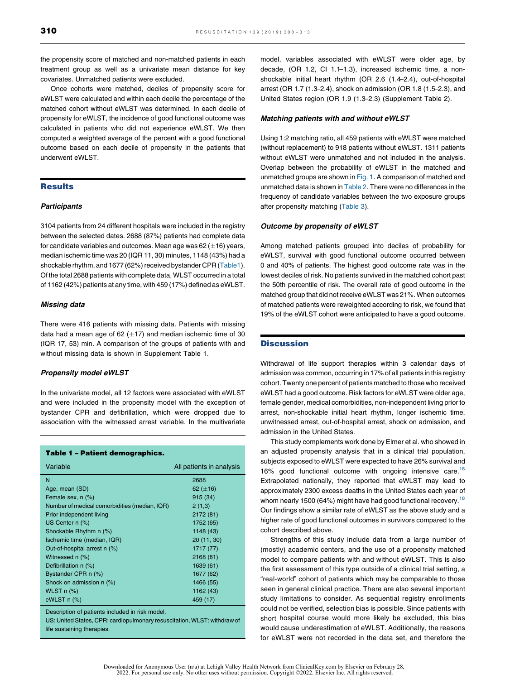the propensity score of matched and non-matched patients in each treatment group as well as a univariate mean distance for key covariates. Unmatched patients were excluded.

Once cohorts were matched, deciles of propensity score for eWLST were calculated and within each decile the percentage of the matched cohort without eWLST was determined. In each decile of propensity for eWLST, the incidence of good functional outcome was calculated in patients who did not experience eWLST. We then computed a weighted average of the percent with a good functional outcome based on each decile of propensity in the patients that underwent eWLST.

## **Results**

#### **Participants**

3104 patients from 24 different hospitals were included in the registry between the selected dates. 2688 (87%) patients had complete data for candidate variables and outcomes. Mean age was  $62 (\pm 16)$  years, median ischemic time was 20 (IQR 11, 30) minutes, 1148 (43%) had a shockable rhythm, and 1677 (62%) received bystander CPR (Table1). Of the total 2688 patients with complete data, WLST occurred in a total of 1162 (42%) patients at any time, with 459 (17%) defined as eWLST.

#### Missing data

There were 416 patients with missing data. Patients with missing data had a mean age of 62  $(\pm 17)$  and median ischemic time of 30 (IQR 17, 53) min. A comparison of the groups of patients with and without missing data is shown in Supplement Table 1.

#### Propensity model eWLST

In the univariate model, all 12 factors were associated with eWLST and were included in the propensity model with the exception of bystander CPR and defibrillation, which were dropped due to association with the witnessed arrest variable. In the multivariate

#### Table 1 – Patient demographics.

| Variable                                      | All patients in analysis |
|-----------------------------------------------|--------------------------|
| N                                             | 2688                     |
| Age, mean (SD)                                | 62 $(\pm 16)$            |
| Female sex, n (%)                             | 915 (34)                 |
| Number of medical comorbidities (median, IQR) | 2(1,3)                   |
| Prior independent living                      | 2172 (81)                |
| US Center n (%)                               | 1752 (65)                |
| Shockable Rhythm n (%)                        | 1148(43)                 |
| Ischemic time (median, IQR)                   | 20 (11, 30)              |
| Out-of-hospital arrest n (%)                  | 1717 (77)                |
| Witnessed n (%)                               | 2168(81)                 |
| Defibrillation n (%)                          | 1639 (61)                |
| Bystander CPR n (%)                           | 1677 (62)                |
| Shock on admission n (%)                      | 1466 (55)                |
| WLST $n$ $%$                                  | 1162 (43)                |
| eWLST $n$ $%$                                 | 459 (17)                 |

Description of patients included in risk model.

US: United States, CPR: cardiopulmonary resuscitation, WLST: withdraw of life sustaining therapies.

model, variables associated with eWLST were older age, by decade, (OR 1.2, CI 1.1–1.3), increased ischemic time, a nonshockable initial heart rhythm (OR 2.6 (1.4–2.4), out-of-hospital arrest (OR 1.7 (1.3–2.4), shock on admission (OR 1.8 (1.5–2.3), and United States region (OR 1.9 (1.3–2.3) (Supplement Table 2).

#### Matching patients with and without eWLST

Using 1:2 matching ratio, all 459 patients with eWLST were matched (without replacement) to 918 patients without eWLST. 1311 patients without eWLST were unmatched and not included in the analysis. Overlap between the probability of eWLST in the matched and unmatched groups are shown in [Fig.](#page-5-0) 1. A comparison of matched and unmatched data is shown in [Table](#page-5-0) 2. There were no differences in the frequency of candidate variables between the two exposure groups after propensity matching [\(Table](#page-6-0) 3).

#### Outcome by propensity of eWLST

Among matched patients grouped into deciles of probability for eWLST, survival with good functional outcome occurred between 0 and 40% of patients. The highest good outcome rate was in the lowest deciles of risk. No patients survived in the matched cohort past the 50th percentile of risk. The overall rate of good outcome in the matched group that did not receive eWLST was 21%. When outcomes of matched patients were reweighted according to risk, we found that 19% of the eWLST cohort were anticipated to have a good outcome.

#### **Discussion**

Withdrawal of life support therapies within 3 calendar days of admission was common, occurring in 17% of all patients in this registry cohort. Twenty one percent of patients matched to those who received eWLST had a good outcome. Risk factors for eWLST were older age, female gender, medical comorbidities, non-independent living prior to arrest, non-shockable initial heart rhythm, longer ischemic time, unwitnessed arrest, out-of-hospital arrest, shock on admission, and admission in the United States.

This study complements work done by Elmer et al. who showed in an adjusted propensity analysis that in a clinical trial population, subjects exposed to eWLST were expected to have 26% survival and 16% good functional outcome with ongoing intensive care.<sup>18</sup> Extrapolated nationally, they reported that eWLST may lead to approximately 2300 excess deaths in the United States each year of whom nearly 1500 (64%) might have had good functional recovery.<sup>18</sup> Our findings show a similar rate of eWLST as the above study and a higher rate of good functional outcomes in survivors compared to the cohort described above.

Strengths of this study include data from a large number of (mostly) academic centers, and the use of a propensity matched model to compare patients with and without eWLST. This is also the first assessment of this type outside of a clinical trial setting, a "real-world" cohort of patients which may be comparable to those seen in general clinical practice. There are also several important study limitations to consider. As sequential registry enrollments could not be verified, selection bias is possible. Since patients with short hospital course would more likely be excluded, this bias would cause underestimation of eWLST. Additionally, the reasons for eWLST were not recorded in the data set, and therefore the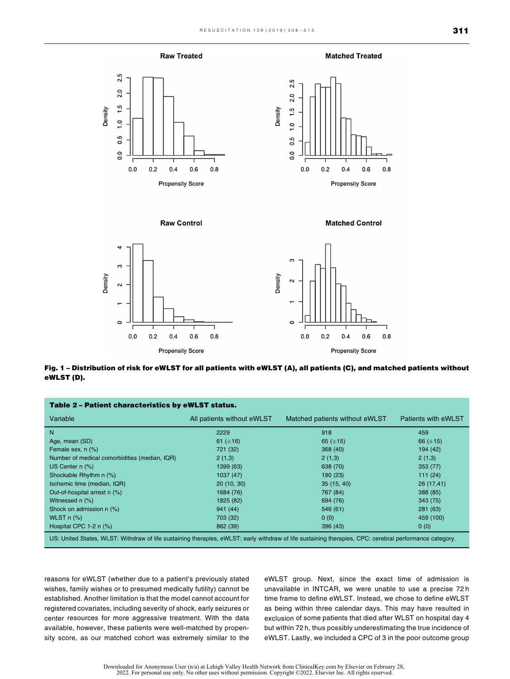



<span id="page-5-0"></span>



**Raw Control** 





Fig. 1 – Distribution of risk for eWLST for all patients with eWLST (A), all patients (C), and matched patients without eWLST (D).

| Table 2 – Patient characteristics by eWLST status.                                                                                                      |                            |                                |                     |  |  |
|---------------------------------------------------------------------------------------------------------------------------------------------------------|----------------------------|--------------------------------|---------------------|--|--|
| Variable                                                                                                                                                | All patients without eWLST | Matched patients without eWLST | Patients with eWLST |  |  |
| N                                                                                                                                                       | 2229                       | 918                            | 459                 |  |  |
| Age, mean (SD)                                                                                                                                          | 61 $(\pm 16)$              | 65 $(\pm 15)$                  | 66 $(\pm 15)$       |  |  |
| Female sex, n (%)                                                                                                                                       | 721 (32)                   | 368(40)                        | 194 (42)            |  |  |
| Number of medical comorbidities (median, IQR)                                                                                                           | 2(1,3)                     | 2(1,3)                         | 2(1,3)              |  |  |
| US Center $n$ $(\%)$                                                                                                                                    | 1399 (63)                  | 638 (70)                       | 353(77)             |  |  |
| Shockable Rhythm n (%)                                                                                                                                  | 1037(47)                   | 190(23)                        | 111(24)             |  |  |
| Ischemic time (median, IQR)                                                                                                                             | 20(10, 30)                 | 35(15, 40)                     | 26(17,41)           |  |  |
| Out-of-hospital arrest n (%)                                                                                                                            | 1684 (76)                  | 767 (84)                       | 388 (85)            |  |  |
| Witnessed $n$ $(\%)$                                                                                                                                    | 1825 (82)                  | 694 (76)                       | 343(75)             |  |  |
| Shock on admission n (%)                                                                                                                                | 941 (44)                   | 546(61)                        | 281(63)             |  |  |
| WLST $n$ $%$ )                                                                                                                                          | 703 (32)                   | 0(0)                           | 459 (100)           |  |  |
| Hospital CPC 1-2 $n$ (%)                                                                                                                                | 862 (39)                   | 396(43)                        | 0(0)                |  |  |
| US: United States, WLST: Withdraw of life sustaining therapies, eWLST: early withdraw of life sustaining therapies, CPC: cerebral performance category. |                            |                                |                     |  |  |

reasons for eWLST (whether due to a patient's previously stated wishes, family wishes or to presumed medically futility) cannot be established. Another limitation is that the model cannot account for registered covariates, including severity of shock, early seizures or center resources for more aggressive treatment. With the data available, however, these patients were well-matched by propensity score, as our matched cohort was extremely similar to the eWLST group. Next, since the exact time of admission is unavailable in INTCAR, we were unable to use a precise 72 h time frame to define eWLST. Instead, we chose to define eWLST as being within three calendar days. This may have resulted in exclusion of some patients that died after WLST on hospital day 4 but within 72 h, thus possibly underestimating the true incidence of eWLST. Lastly, we included a CPC of 3 in the poor outcome group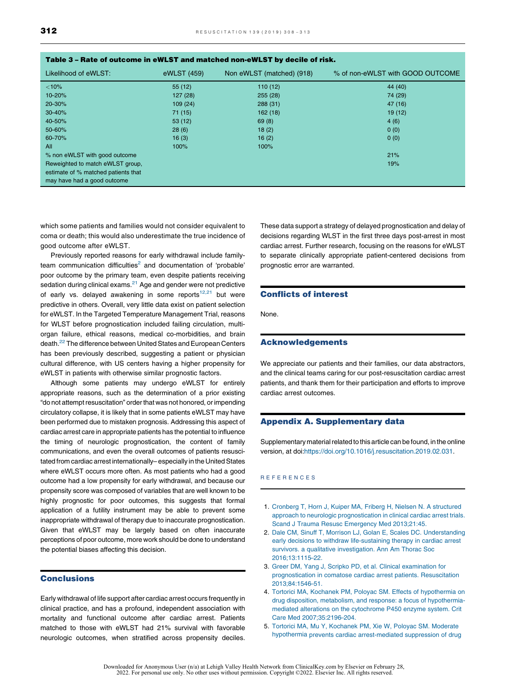<span id="page-6-0"></span>

| rapie 3 – Kate of outcome in ewest and matched non-ewest by decile of risk. |             |                           |                                  |  |  |
|-----------------------------------------------------------------------------|-------------|---------------------------|----------------------------------|--|--|
| Likelihood of eWLST:                                                        | eWLST (459) | Non eWLST (matched) (918) | % of non-eWLST with GOOD OUTCOME |  |  |
| $<10\%$                                                                     | 55(12)      | 110(12)                   | 44 (40)                          |  |  |
| 10-20%                                                                      | 127(28)     | 255(28)                   | 74 (29)                          |  |  |
| 20-30%                                                                      | 109(24)     | 288(31)                   | 47 (16)                          |  |  |
| 30-40%                                                                      | 71 (15)     | 162(18)                   | 19(12)                           |  |  |
| 40-50%                                                                      | 53(12)      | 69(8)                     | 4(6)                             |  |  |
| 50-60%                                                                      | 28(6)       | 18(2)                     | 0(0)                             |  |  |
| 60-70%                                                                      | 16(3)       | 16(2)                     | 0(0)                             |  |  |
| All                                                                         | 100%        | 100%                      |                                  |  |  |
| % non eWLST with good outcome                                               |             |                           | 21%                              |  |  |
| Reweighted to match eWLST group,                                            |             |                           | 19%                              |  |  |
| estimate of % matched patients that                                         |             |                           |                                  |  |  |
| may have had a good outcome                                                 |             |                           |                                  |  |  |

#### Table 3 – Rate of outcome in eWLST and matched non-eWLST by decile of risk.

which some patients and families would not consider equivalent to coma or death; this would also underestimate the true incidence of good outcome after eWLST.

Previously reported reasons for early withdrawal include familyteam communication difficulties $^2$  and documentation of 'probable' poor outcome by the primary team, even despite patients receiving sedation during clinical exams.<sup>21</sup> Age and gender were not predictive of early vs. delayed awakening in some reports $12,21$  but [were](#page-7-0) predictive in others. Overall, very little data exist on patient selection for eWLST. In the Targeted Temperature Management Trial, reasons for WLST before prognostication included failing circulation, multiorgan failure, ethical reasons, medical co-morbidities, and brain death.<sup>22</sup> The difference between United States and European Centers has been previously described, suggesting a patient or physician cultural difference, with US centers having a higher propensity for eWLST in patients with otherwise similar prognostic factors.

Although some patients may undergo eWLST for entirely appropriate reasons, such as the determination of a prior existing "do not attempt resuscitation" order that was not honored, or impending circulatory collapse, it is likely that in some patients eWLST may have been performed due to mistaken prognosis. Addressing this aspect of cardiac arrest care in appropriate patients has the potential to influence the timing of neurologic prognostication, the content of family communications, and even the overall outcomes of patients resuscitated from cardiac arrest internationally– especially in the United States where eWLST occurs more often. As most patients who had a good outcome had a low propensity for early withdrawal, and because our propensity score was composed of variables that are well known to be highly prognostic for poor outcomes, this suggests that formal application of a futility instrument may be able to prevent some inappropriate withdrawal of therapy due to inaccurate prognostication. Given that eWLST may be largely based on often inaccurate perceptions of poor outcome, more work should be done to understand the potential biases affecting this decision.

## **Conclusions**

Early withdrawal of life support after cardiac arrest occurs frequently in clinical practice, and has a profound, independent association with mortality and functional outcome after cardiac arrest. Patients matched to those with eWLST had 21% survival with favorable neurologic outcomes, when stratified across propensity deciles.

These data support a strategy of delayed prognostication and delay of decisions regarding WLST in the first three days post-arrest in most cardiac arrest. Further research, focusing on the reasons for eWLST to separate clinically appropriate patient-centered decisions from prognostic error are warranted.

#### Conflicts of interest

None.

#### Acknowledgements

We appreciate our patients and their families, our data abstractors, and the clinical teams caring for our post-resuscitation cardiac arrest patients, and thank them for their participation and efforts to improve cardiac arrest outcomes.

#### Appendix A. Supplementary data

Supplementary material related to this article can be found, in the online version, at doi[:https://doi.org/10.1016/j.resuscitation.2019.02.031](https://doi.org/10.1016/j.resuscitation.2019.02.031).

#### R E F E R E N C E S

- 1. Cronberg T, Horn J, Kuiper MA, Friberg H, Nielsen N. A [structured](http://refhub.elsevier.com/S0300-9572(19)30048-6/sbref0005) approach to neurologic [prognostication](http://refhub.elsevier.com/S0300-9572(19)30048-6/sbref0005) in clinical cardiac arrest trials. Scand J Trauma Resusc Emergency Med [2013;21:45.](http://refhub.elsevier.com/S0300-9572(19)30048-6/sbref0005)
- 2. Dale CM, Sinuff T, Morrison LJ, Golan E, Scales DC. [Understanding](http://refhub.elsevier.com/S0300-9572(19)30048-6/sbref0010) early decisions to withdraw [life-sustaining](http://refhub.elsevier.com/S0300-9572(19)30048-6/sbref0010) therapy in cardiac arrest survivors. a qualitative [investigation.](http://refhub.elsevier.com/S0300-9572(19)30048-6/sbref0010) Ann Am Thorac Soc [2016;13:1115](http://refhub.elsevier.com/S0300-9572(19)30048-6/sbref0010)–22.
- 3. Greer DM, Yang J, Scripko PD, et al. Clinical [examination](http://refhub.elsevier.com/S0300-9572(19)30048-6/sbref0015) for [prognostication](http://refhub.elsevier.com/S0300-9572(19)30048-6/sbref0015) in comatose cardiac arrest patients. Resuscitation [2013;84:1546](http://refhub.elsevier.com/S0300-9572(19)30048-6/sbref0015)–51.
- 4. Tortorici MA, Kochanek PM, Poloyac SM. Effects of [hypothermia](http://refhub.elsevier.com/S0300-9572(19)30048-6/sbref0020) on drug disposition, metabolism, and response: a focus of [hypothermia](http://refhub.elsevier.com/S0300-9572(19)30048-6/sbref0020)mediated alterations on the [cytochrome](http://refhub.elsevier.com/S0300-9572(19)30048-6/sbref0020) P450 enzyme system. Crit Care Med [2007;35:2196](http://refhub.elsevier.com/S0300-9572(19)30048-6/sbref0020)–204.
- 5. Tortorici MA, Mu Y, [Kochanek](http://refhub.elsevier.com/S0300-9572(19)30048-6/sbref0025) PM, Xie W, Poloyac SM. Moderate hypothermia prevents cardiac [arrest-mediated](http://refhub.elsevier.com/S0300-9572(19)30048-6/sbref0025) suppression of drug